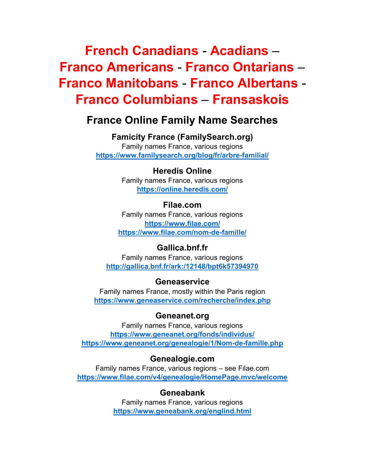# **French Canadians** - **Acadians** – **Franco Americans** - **Franco Ontarians** – **Franco Manitobans** - **Franco Albertans** - **Franco Columbians** – **Fransaskois**

# **France Online Family Name Searches**

**Famicity France (FamilySearch.org)**  Family names France, various regions **https://www.familysearch.org/blog/fr/arbre-familial/**

#### **Heredis Online**

Family names France, various regions **https://online.heredis.com/**

#### **Filae.com**

Family names France, various regions **https://www.filae.com/ https://www.filae.com/nom-de-famille/**

### **Gallica.bnf.fr**

Family names France, various regions **http://gallica.bnf.fr/ark:/12148/bpt6k57394970**

#### **Geneaservice**

Family names France, mostly within the Paris region **https://www.geneaservice.com/recherche/index.php**

#### **Geneanet.org**

Family names France, various regions **https://www.geneanet.org/fonds/individus/ https://www.geneanet.org/genealogie/1/Nom-de-famille.php**

#### **Genealogie.com**

Family names France, various regions – see Filae.com **https://www.filae.com/v4/genealogie/HomePage.mvc/welcome**

#### **Geneabank**

Family names France, various regions **https://www.geneabank.org/englind.html**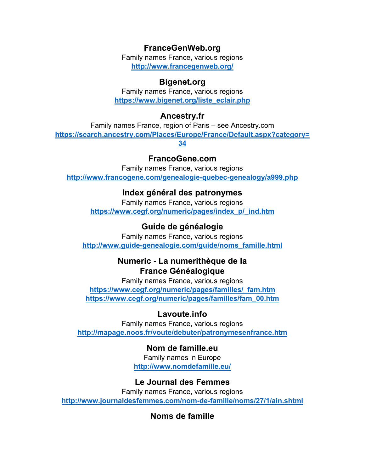# **FranceGenWeb.org**

Family names France, various regions **http://www.francegenweb.org/**

### **Bigenet.org**

Family names France, various regions **https://www.bigenet.org/liste\_eclair.php**

# **Ancestry.fr**

Family names France, region of Paris – see Ancestry.com **https://search.ancestry.com/Places/Europe/France/Default.aspx?category=**

**34**

# **FrancoGene.com**

Family names France, various regions **http://www.francogene.com/genealogie-quebec-genealogy/a999.php** 

# **Index général des patronymes**

Family names France, various regions **https://www.cegf.org/numeric/pages/index\_p/\_ind.htm**

# **Guide de généalogie**

Family names France, various regions **http://www.guide-genealogie.com/guide/noms\_famille.html**

# **Numeric - La numerithèque de la France Généalogique**

Family names France, various regions **https://www.cegf.org/numeric/pages/familles/\_fam.htm https://www.cegf.org/numeric/pages/familles/fam\_00.htm**

# **Lavoute.info**

Family names France, various regions **http://mapage.noos.fr/voute/debuter/patronymesenfrance.htm**

# **Nom de famille.eu**

Family names in Europe **http://www.nomdefamille.eu/**

### **Le Journal des Femmes**

Family names France, various regions **http://www.journaldesfemmes.com/nom-de-famille/noms/27/1/ain.shtml**

**Noms de famille**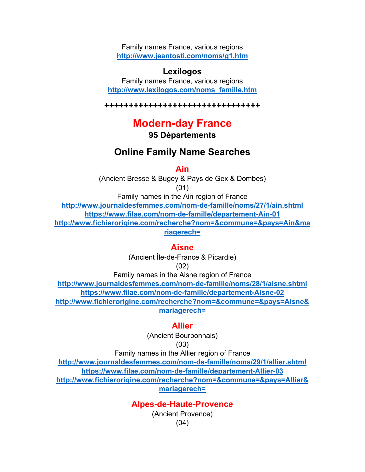Family names France, various regions **http://www.jeantosti.com/noms/g1.htm**

#### **Lexilogos**

Family names France, various regions **http://www.lexilogos.com/noms\_famille.htm**

**++++++++++++++++++++++++++++++++** 

# **Modern-day France**

**95 Départements** 

# **Online Family Name Searches**

**Ain**

(Ancient Bresse & Bugey & Pays de Gex & Dombes) (01)

Family names in the Ain region of France **http://www.journaldesfemmes.com/nom-de-famille/noms/27/1/ain.shtml https://www.filae.com/nom-de-famille/departement-Ain-01 http://www.fichierorigine.com/recherche?nom=&commune=&pays=Ain&ma riagerech=**

#### **Aisne**

(Ancient Île-de-France & Picardie)

(02)

Family names in the Aisne region of France **http://www.journaldesfemmes.com/nom-de-famille/noms/28/1/aisne.shtml https://www.filae.com/nom-de-famille/departement-Aisne-02 http://www.fichierorigine.com/recherche?nom=&commune=&pays=Aisne& mariagerech=**

#### **Allier**

(Ancient Bourbonnais)

$$
(03)
$$

Family names in the Allier region of France

**http://www.journaldesfemmes.com/nom-de-famille/noms/29/1/allier.shtml https://www.filae.com/nom-de-famille/departement-Allier-03 http://www.fichierorigine.com/recherche?nom=&commune=&pays=Allier&**

#### **mariagerech=**

#### **Alpes-de-Haute-Provence**

(Ancient Provence) (04)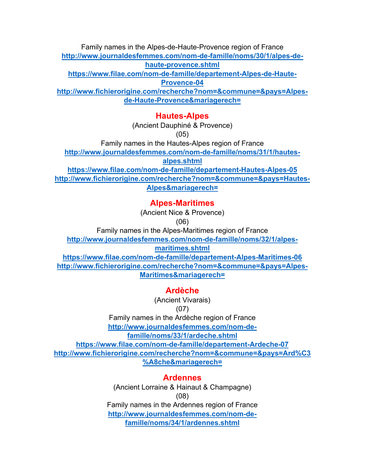Family names in the Alpes-de-Haute-Provence region of France **http://www.journaldesfemmes.com/nom-de-famille/noms/30/1/alpes-de-**

**haute-provence.shtml**

**https://www.filae.com/nom-de-famille/departement-Alpes-de-Haute-**

**Provence-04**

**http://www.fichierorigine.com/recherche?nom=&commune=&pays=Alpesde-Haute-Provence&mariagerech=**

### **Hautes-Alpes**

(Ancient Dauphiné & Provence)

(05)

Family names in the Hautes-Alpes region of France

**http://www.journaldesfemmes.com/nom-de-famille/noms/31/1/hautes-**

**alpes.shtml**

**https://www.filae.com/nom-de-famille/departement-Hautes-Alpes-05 http://www.fichierorigine.com/recherche?nom=&commune=&pays=Hautes-Alpes&mariagerech=**

# **Alpes-Maritimes**

(Ancient Nice & Provence)

(06)

Family names in the Alpes-Maritimes region of France

**http://www.journaldesfemmes.com/nom-de-famille/noms/32/1/alpes-**

**maritimes.shtml**

**https://www.filae.com/nom-de-famille/departement-Alpes-Maritimes-06 http://www.fichierorigine.com/recherche?nom=&commune=&pays=Alpes-Maritimes&mariagerech=**

# **Ardèche**

(Ancient Vivarais)

(07)

Family names in the Ardèche region of France **http://www.journaldesfemmes.com/nom-defamille/noms/33/1/ardeche.shtml**

**https://www.filae.com/nom-de-famille/departement-Ardeche-07 http://www.fichierorigine.com/recherche?nom=&commune=&pays=Ard%C3 %A8che&mariagerech=**

# **Ardennes**

(Ancient Lorraine & Hainaut & Champagne) (08) Family names in the Ardennes region of France **http://www.journaldesfemmes.com/nom-defamille/noms/34/1/ardennes.shtml**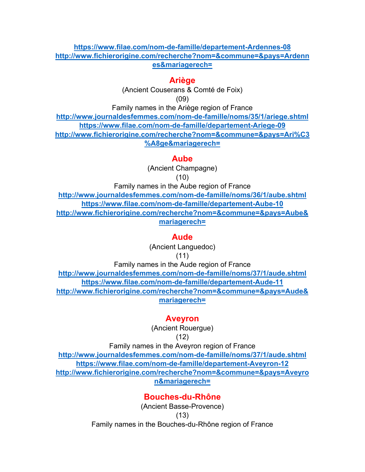#### **https://www.filae.com/nom-de-famille/departement-Ardennes-08 http://www.fichierorigine.com/recherche?nom=&commune=&pays=Ardenn es&mariagerech=**

### **Ariège**

(Ancient Couserans & Comté de Foix) (09)

Family names in the Ariège region of France

**http://www.journaldesfemmes.com/nom-de-famille/noms/35/1/ariege.shtml https://www.filae.com/nom-de-famille/departement-Ariege-09 http://www.fichierorigine.com/recherche?nom=&commune=&pays=Ari%C3 %A8ge&mariagerech=**

### **Aube**

(Ancient Champagne) (10)

Family names in the Aube region of France **http://www.journaldesfemmes.com/nom-de-famille/noms/36/1/aube.shtml https://www.filae.com/nom-de-famille/departement-Aube-10 http://www.fichierorigine.com/recherche?nom=&commune=&pays=Aube& mariagerech=**

### **Aude**

(Ancient Languedoc) (11)

Family names in the Aude region of France **http://www.journaldesfemmes.com/nom-de-famille/noms/37/1/aude.shtml https://www.filae.com/nom-de-famille/departement-Aude-11 http://www.fichierorigine.com/recherche?nom=&commune=&pays=Aude& mariagerech=**

### **Aveyron**

(Ancient Rouergue) (12)

Family names in the Aveyron region of France **http://www.journaldesfemmes.com/nom-de-famille/noms/37/1/aude.shtml https://www.filae.com/nom-de-famille/departement-Aveyron-12 http://www.fichierorigine.com/recherche?nom=&commune=&pays=Aveyro n&mariagerech=**

# **Bouches-du-Rhône**

(Ancient Basse-Provence) (13) Family names in the Bouches-du-Rhône region of France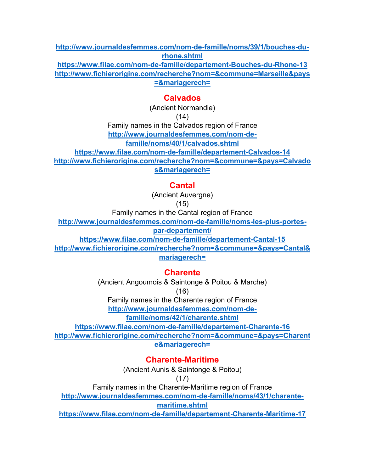**http://www.journaldesfemmes.com/nom-de-famille/noms/39/1/bouches-durhone.shtml**

**https://www.filae.com/nom-de-famille/departement-Bouches-du-Rhone-13 http://www.fichierorigine.com/recherche?nom=&commune=Marseille&pays =&mariagerech=**

### **Calvados**

(Ancient Normandie)

(14)

Family names in the Calvados region of France **http://www.journaldesfemmes.com/nom-defamille/noms/40/1/calvados.shtml**

**https://www.filae.com/nom-de-famille/departement-Calvados-14**

**http://www.fichierorigine.com/recherche?nom=&commune=&pays=Calvado**

**s&mariagerech=**

### **Cantal**

(Ancient Auvergne)

(15)

Family names in the Cantal region of France

**http://www.journaldesfemmes.com/nom-de-famille/noms-les-plus-portes-**

**par-departement/**

**https://www.filae.com/nom-de-famille/departement-Cantal-15**

**http://www.fichierorigine.com/recherche?nom=&commune=&pays=Cantal& mariagerech=**

### **Charente**

(Ancient Angoumois & Saintonge & Poitou & Marche)

(16)

Family names in the Charente region of France

**http://www.journaldesfemmes.com/nom-de-**

**famille/noms/42/1/charente.shtml**

**https://www.filae.com/nom-de-famille/departement-Charente-16 http://www.fichierorigine.com/recherche?nom=&commune=&pays=Charent e&mariagerech=**

**Charente-Maritime**

(Ancient Aunis & Saintonge & Poitou)

(17)

Family names in the Charente-Maritime region of France

**http://www.journaldesfemmes.com/nom-de-famille/noms/43/1/charente-**

**maritime.shtml**

**https://www.filae.com/nom-de-famille/departement-Charente-Maritime-17**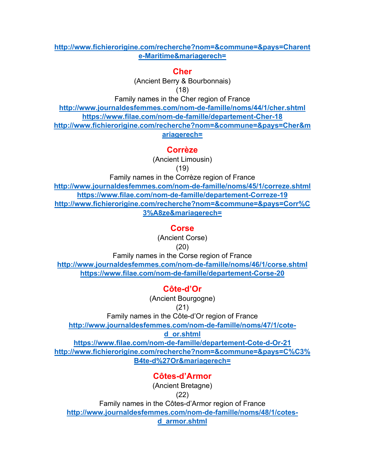#### **http://www.fichierorigine.com/recherche?nom=&commune=&pays=Charent e-Maritime&mariagerech=**

#### **Cher**

(Ancient Berry & Bourbonnais) (18)

Family names in the Cher region of France

**http://www.journaldesfemmes.com/nom-de-famille/noms/44/1/cher.shtml https://www.filae.com/nom-de-famille/departement-Cher-18 http://www.fichierorigine.com/recherche?nom=&commune=&pays=Cher&m ariagerech=**

#### **Corrèze**

(Ancient Limousin)

(19)

Family names in the Corrèze region of France

**http://www.journaldesfemmes.com/nom-de-famille/noms/45/1/correze.shtml https://www.filae.com/nom-de-famille/departement-Correze-19 http://www.fichierorigine.com/recherche?nom=&commune=&pays=Corr%C 3%A8ze&mariagerech=**

#### **Corse**

(Ancient Corse)

#### (20)

Family names in the Corse region of France **http://www.journaldesfemmes.com/nom-de-famille/noms/46/1/corse.shtml**

**https://www.filae.com/nom-de-famille/departement-Corse-20**

# **Côte-d'Or**

(Ancient Bourgogne)

#### (21)

Family names in the Côte-d'Or region of France

**http://www.journaldesfemmes.com/nom-de-famille/noms/47/1/cote-**

### **d\_or.shtml**

**https://www.filae.com/nom-de-famille/departement-Cote-d-Or-21 http://www.fichierorigine.com/recherche?nom=&commune=&pays=C%C3% B4te-d%27Or&mariagerech=**

# **Côtes-d'Armor**

(Ancient Bretagne)

#### (22)

Family names in the Côtes-d'Armor region of France **http://www.journaldesfemmes.com/nom-de-famille/noms/48/1/cotesd\_armor.shtml**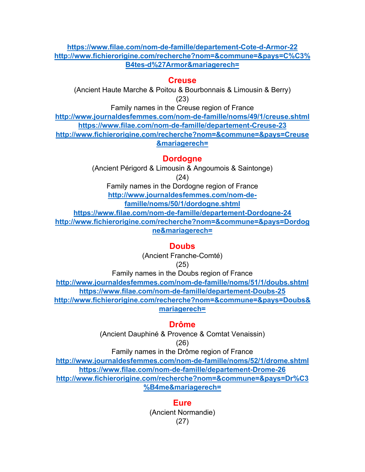#### **https://www.filae.com/nom-de-famille/departement-Cote-d-Armor-22 http://www.fichierorigine.com/recherche?nom=&commune=&pays=C%C3% B4tes-d%27Armor&mariagerech=**

### **Creuse**

(Ancient Haute Marche & Poitou & Bourbonnais & Limousin & Berry) (23)

Family names in the Creuse region of France

**http://www.journaldesfemmes.com/nom-de-famille/noms/49/1/creuse.shtml https://www.filae.com/nom-de-famille/departement-Creuse-23 http://www.fichierorigine.com/recherche?nom=&commune=&pays=Creuse &mariagerech=**

**Dordogne**

(Ancient Périgord & Limousin & Angoumois & Saintonge) (24)

Family names in the Dordogne region of France **http://www.journaldesfemmes.com/nom-de-**

**famille/noms/50/1/dordogne.shtml**

**https://www.filae.com/nom-de-famille/departement-Dordogne-24 http://www.fichierorigine.com/recherche?nom=&commune=&pays=Dordog ne&mariagerech=**

#### **Doubs**

(Ancient Franche-Comté)

(25)

Family names in the Doubs region of France **http://www.journaldesfemmes.com/nom-de-famille/noms/51/1/doubs.shtml https://www.filae.com/nom-de-famille/departement-Doubs-25 http://www.fichierorigine.com/recherche?nom=&commune=&pays=Doubs& mariagerech=**

#### **Drôme**

(Ancient Dauphiné & Provence & Comtat Venaissin)

(26)

Family names in the Drôme region of France **http://www.journaldesfemmes.com/nom-de-famille/noms/52/1/drome.shtml https://www.filae.com/nom-de-famille/departement-Drome-26 http://www.fichierorigine.com/recherche?nom=&commune=&pays=Dr%C3 %B4me&mariagerech=**

> **Eure** (Ancient Normandie) (27)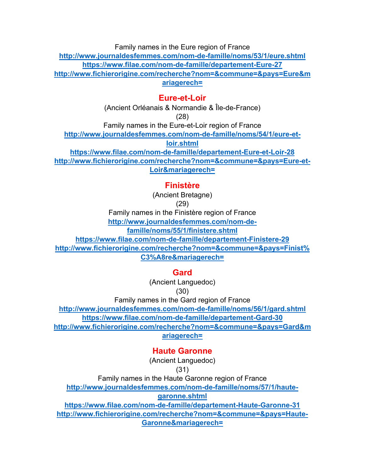Family names in the Eure region of France

**http://www.journaldesfemmes.com/nom-de-famille/noms/53/1/eure.shtml https://www.filae.com/nom-de-famille/departement-Eure-27 http://www.fichierorigine.com/recherche?nom=&commune=&pays=Eure&m ariagerech=**

#### **Eure-et-Loir**

(Ancient Orléanais & Normandie & Île-de-France) (28)

Family names in the Eure-et-Loir region of France

**http://www.journaldesfemmes.com/nom-de-famille/noms/54/1/eure-et-**

**loir.shtml**

**https://www.filae.com/nom-de-famille/departement-Eure-et-Loir-28 http://www.fichierorigine.com/recherche?nom=&commune=&pays=Eure-et-Loir&mariagerech=**

# **Finistère**

(Ancient Bretagne)

(29)

Family names in the Finistère region of France

**http://www.journaldesfemmes.com/nom-de-**

**famille/noms/55/1/finistere.shtml**

**https://www.filae.com/nom-de-famille/departement-Finistere-29 http://www.fichierorigine.com/recherche?nom=&commune=&pays=Finist% C3%A8re&mariagerech=**

# **Gard**

(Ancient Languedoc) (30)

Family names in the Gard region of France

**http://www.journaldesfemmes.com/nom-de-famille/noms/56/1/gard.shtml https://www.filae.com/nom-de-famille/departement-Gard-30 http://www.fichierorigine.com/recherche?nom=&commune=&pays=Gard&m ariagerech=**

# **Haute Garonne**

(Ancient Languedoc)

### (31)

Family names in the Haute Garonne region of France

**http://www.journaldesfemmes.com/nom-de-famille/noms/57/1/haute-**

### **garonne.shtml**

**https://www.filae.com/nom-de-famille/departement-Haute-Garonne-31 http://www.fichierorigine.com/recherche?nom=&commune=&pays=Haute-Garonne&mariagerech=**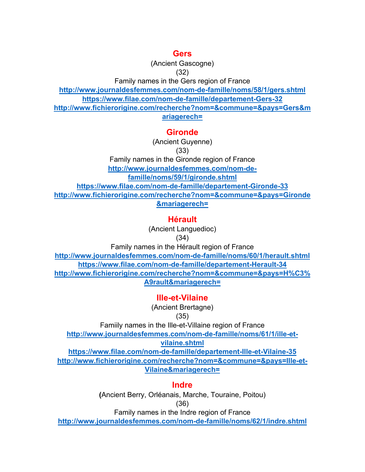#### **Gers**

(Ancient Gascogne)

(32)

Family names in the Gers region of France

**http://www.journaldesfemmes.com/nom-de-famille/noms/58/1/gers.shtml https://www.filae.com/nom-de-famille/departement-Gers-32**

**http://www.fichierorigine.com/recherche?nom=&commune=&pays=Gers&m ariagerech=**

# **Gironde**

(Ancient Guyenne)

(33)

Family names in the Gironde region of France **http://www.journaldesfemmes.com/nom-defamille/noms/59/1/gironde.shtml https://www.filae.com/nom-de-famille/departement-Gironde-33 http://www.fichierorigine.com/recherche?nom=&commune=&pays=Gironde &mariagerech=**

# **Hérault**

(Ancient Languedioc)

(34)

Family names in the Hérault region of France

**http://www.journaldesfemmes.com/nom-de-famille/noms/60/1/herault.shtml https://www.filae.com/nom-de-famille/departement-Herault-34 http://www.fichierorigine.com/recherche?nom=&commune=&pays=H%C3% A9rault&mariagerech=**

**Ille-et-Vilaine** 

(Ancient Brertagne)

#### (35)

Famiily names in the Ille-et-Villaine region of France **http://www.journaldesfemmes.com/nom-de-famille/noms/61/1/ille-et-**

#### **vilaine.shtml**

**https://www.filae.com/nom-de-famille/departement-Ille-et-Vilaine-35 http://www.fichierorigine.com/recherche?nom=&commune=&pays=Ille-et-Vilaine&mariagerech=**

### **Indre**

**(**Ancient Berry, Orléanais, Marche, Touraine, Poitou) (36)

Family names in the Indre region of France

**http://www.journaldesfemmes.com/nom-de-famille/noms/62/1/indre.shtml**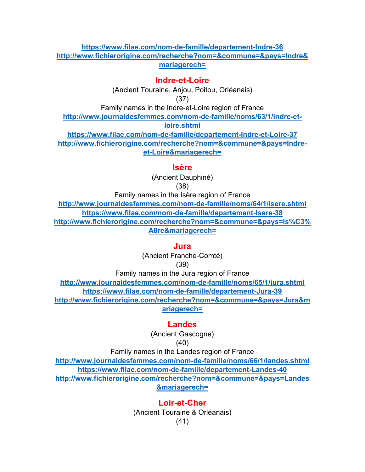#### **https://www.filae.com/nom-de-famille/departement-Indre-36 http://www.fichierorigine.com/recherche?nom=&commune=&pays=Indre& mariagerech=**

#### **Indre-et-Loire**

(Ancient Touraine, Anjou, Poitou, Orléanais) (37)

Family names in the Indre-et-Loire region of France

**http://www.journaldesfemmes.com/nom-de-famille/noms/63/1/indre-etloire.shtml https://www.filae.com/nom-de-famille/departement-Indre-et-Loire-37 http://www.fichierorigine.com/recherche?nom=&commune=&pays=Indre-**

**et-Loire&mariagerech=**

#### **Isère**

(Ancient Dauphiné) (38)

Family names in the Isère region of France **http://www.journaldesfemmes.com/nom-de-famille/noms/64/1/isere.shtml https://www.filae.com/nom-de-famille/departement-Isere-38 http://www.fichierorigine.com/recherche?nom=&commune=&pays=Is%C3% A8re&mariagerech=**

#### **Jura**

(Ancient Franche-Comté)

(39)

Family names in the Jura region of France **http://www.journaldesfemmes.com/nom-de-famille/noms/65/1/jura.shtml https://www.filae.com/nom-de-famille/departement-Jura-39 http://www.fichierorigine.com/recherche?nom=&commune=&pays=Jura&m ariagerech=**

#### **Landes**

(Ancient Gascogne)

$$
(40)
$$

Family names in the Landes region of France **http://www.journaldesfemmes.com/nom-de-famille/noms/66/1/landes.shtml https://www.filae.com/nom-de-famille/departement-Landes-40 http://www.fichierorigine.com/recherche?nom=&commune=&pays=Landes &mariagerech=**

> **Loir-et-Cher** (Ancient Touraine & Orléanais) (41)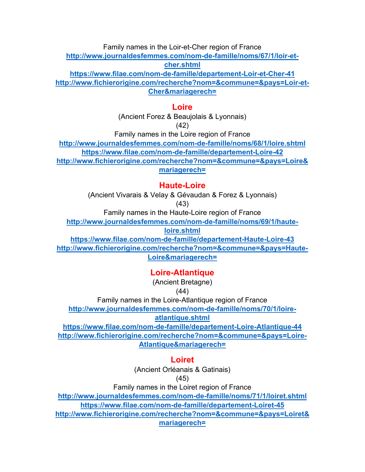Family names in the Loir-et-Cher region of France **http://www.journaldesfemmes.com/nom-de-famille/noms/67/1/loir-etcher.shtml**

**https://www.filae.com/nom-de-famille/departement-Loir-et-Cher-41 http://www.fichierorigine.com/recherche?nom=&commune=&pays=Loir-et-Cher&mariagerech=**

#### **Loire**

(Ancient Forez & Beaujolais & Lyonnais)

(42)

Family names in the Loire region of France

**http://www.journaldesfemmes.com/nom-de-famille/noms/68/1/loire.shtml**

**https://www.filae.com/nom-de-famille/departement-Loire-42**

**http://www.fichierorigine.com/recherche?nom=&commune=&pays=Loire& mariagerech=**

# **Haute-Loire**

(Ancient Vivarais & Velay & Gévaudan & Forez & Lyonnais)

(43)

Family names in the Haute-Loire region of France

**http://www.journaldesfemmes.com/nom-de-famille/noms/69/1/haute-**

**loire.shtml**

**https://www.filae.com/nom-de-famille/departement-Haute-Loire-43 http://www.fichierorigine.com/recherche?nom=&commune=&pays=Haute-Loire&mariagerech=**

# **Loire-Atlantique**

(Ancient Bretagne)

(44)

Family names in the Loire-Atlantique region of France

**http://www.journaldesfemmes.com/nom-de-famille/noms/70/1/loire-**

### **atlantique.shtml**

**https://www.filae.com/nom-de-famille/departement-Loire-Atlantique-44 http://www.fichierorigine.com/recherche?nom=&commune=&pays=Loire-Atlantique&mariagerech=**

# **Loiret**

(Ancient Orléanais & Gatinais)

(45)

Family names in the Loiret region of France

**http://www.journaldesfemmes.com/nom-de-famille/noms/71/1/loiret.shtml https://www.filae.com/nom-de-famille/departement-Loiret-45**

**http://www.fichierorigine.com/recherche?nom=&commune=&pays=Loiret& mariagerech=**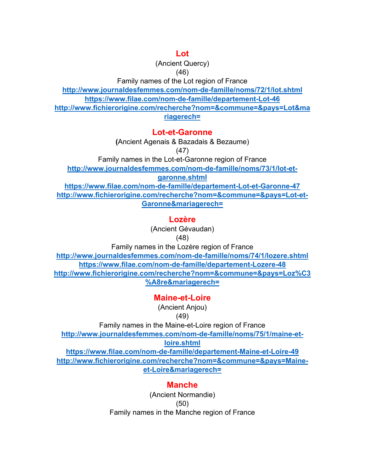#### **Lot**

(Ancient Quercy)

(46)

Family names of the Lot region of France

**http://www.journaldesfemmes.com/nom-de-famille/noms/72/1/lot.shtml**

**https://www.filae.com/nom-de-famille/departement-Lot-46**

**http://www.fichierorigine.com/recherche?nom=&commune=&pays=Lot&ma riagerech=**

# **Lot-et-Garonne**

**(**Ancient Agenais & Bazadais & Bezaume)

(47)

Family names in the Lot-et-Garonne region of France

**http://www.journaldesfemmes.com/nom-de-famille/noms/73/1/lot-et-**

**garonne.shtml**

**https://www.filae.com/nom-de-famille/departement-Lot-et-Garonne-47 http://www.fichierorigine.com/recherche?nom=&commune=&pays=Lot-et-Garonne&mariagerech=**

# **Lozère**

(Ancient Gévaudan)

(48)

Family names in the Lozère region of France

**http://www.journaldesfemmes.com/nom-de-famille/noms/74/1/lozere.shtml https://www.filae.com/nom-de-famille/departement-Lozere-48 http://www.fichierorigine.com/recherche?nom=&commune=&pays=Loz%C3 %A8re&mariagerech=**

**Maine-et-Loire**

(Ancient Anjou) (49)

Family names in the Maine-et-Loire region of France

**http://www.journaldesfemmes.com/nom-de-famille/noms/75/1/maine-et-**

**loire.shtml** 

**https://www.filae.com/nom-de-famille/departement-Maine-et-Loire-49 http://www.fichierorigine.com/recherche?nom=&commune=&pays=Maineet-Loire&mariagerech=**

# **Manche**

(Ancient Normandie) (50) Family names in the Manche region of France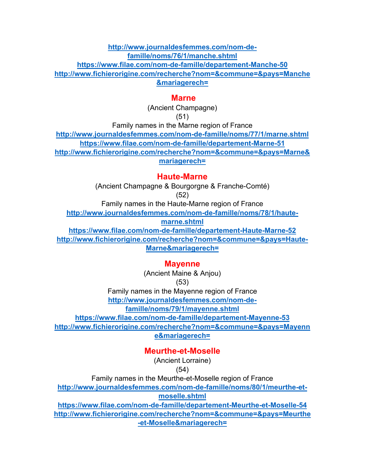**http://www.journaldesfemmes.com/nom-defamille/noms/76/1/manche.shtml https://www.filae.com/nom-de-famille/departement-Manche-50 http://www.fichierorigine.com/recherche?nom=&commune=&pays=Manche &mariagerech=**

#### **Marne**

(Ancient Champagne) (51)

Family names in the Marne region of France

**http://www.journaldesfemmes.com/nom-de-famille/noms/77/1/marne.shtml https://www.filae.com/nom-de-famille/departement-Marne-51 http://www.fichierorigine.com/recherche?nom=&commune=&pays=Marne& mariagerech=**

#### **Haute-Marne**

(Ancient Champagne & Bourgorgne & Franche-Comté) (52)

Family names in the Haute-Marne region of France

**http://www.journaldesfemmes.com/nom-de-famille/noms/78/1/haute-**

**marne.shtml**

**https://www.filae.com/nom-de-famille/departement-Haute-Marne-52 http://www.fichierorigine.com/recherche?nom=&commune=&pays=Haute-Marne&mariagerech=**

#### **Mayenne**

(Ancient Maine & Anjou) (53)

Family names in the Mayenne region of France

**http://www.journaldesfemmes.com/nom-de-**

**famille/noms/79/1/mayenne.shtml**

**https://www.filae.com/nom-de-famille/departement-Mayenne-53**

**http://www.fichierorigine.com/recherche?nom=&commune=&pays=Mayenn e&mariagerech=**

**Meurthe-et-Moselle**

(Ancient Lorraine)

(54)

Family names in the Meurthe-et-Moselle region of France

**http://www.journaldesfemmes.com/nom-de-famille/noms/80/1/meurthe-etmoselle.shtml**

**https://www.filae.com/nom-de-famille/departement-Meurthe-et-Moselle-54 http://www.fichierorigine.com/recherche?nom=&commune=&pays=Meurthe -et-Moselle&mariagerech=**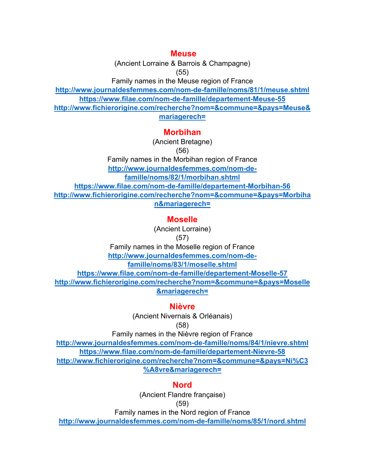#### **Meuse**

(Ancient Lorraine & Barrois & Champagne) (55)

Family names in the Meuse region of France

**http://www.journaldesfemmes.com/nom-de-famille/noms/81/1/meuse.shtml https://www.filae.com/nom-de-famille/departement-Meuse-55**

**http://www.fichierorigine.com/recherche?nom=&commune=&pays=Meuse&**

**mariagerech=**

#### **Morbihan**

(Ancient Bretagne)

(56)

Family names in the Morbihan region of France **http://www.journaldesfemmes.com/nom-defamille/noms/82/1/morbihan.shtml https://www.filae.com/nom-de-famille/departement-Morbihan-56 http://www.fichierorigine.com/recherche?nom=&commune=&pays=Morbiha n&mariagerech=**

# **Moselle**

(Ancient Lorraine)

(57)

Family names in the Moselle region of France **http://www.journaldesfemmes.com/nom-defamille/noms/83/1/moselle.shtml**

**https://www.filae.com/nom-de-famille/departement-Moselle-57 http://www.fichierorigine.com/recherche?nom=&commune=&pays=Moselle &mariagerech=**

**Nièvre**

(Ancient Nivernais & Orléanais) (58)

Family names in the Nièvre region of France

**http://www.journaldesfemmes.com/nom-de-famille/noms/84/1/nievre.shtml https://www.filae.com/nom-de-famille/departement-Nievre-58 http://www.fichierorigine.com/recherche?nom=&commune=&pays=Ni%C3 %A8vre&mariagerech=**

#### **Nord**

(Ancient Flandre française) (59)

Family names in the Nord region of France

**http://www.journaldesfemmes.com/nom-de-famille/noms/85/1/nord.shtml**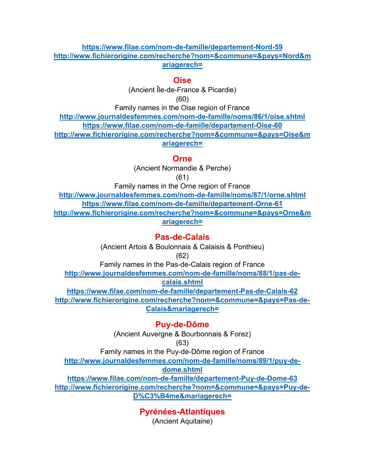#### **https://www.filae.com/nom-de-famille/departement-Nord-59 http://www.fichierorigine.com/recherche?nom=&commune=&pays=Nord&m ariagerech=**

#### **Oise**

(Ancient Île-de-France & Picardie) (60)

Family names in the Oise region of France

**http://www.journaldesfemmes.com/nom-de-famille/noms/86/1/oise.shtml https://www.filae.com/nom-de-famille/departement-Oise-60 http://www.fichierorigine.com/recherche?nom=&commune=&pays=Oise&m ariagerech=**

#### **Orne**

(Ancient Normandie & Perche) (61)

Family names in the Orne region of France

**http://www.journaldesfemmes.com/nom-de-famille/noms/87/1/orne.shtml https://www.filae.com/nom-de-famille/departement-Orne-61 http://www.fichierorigine.com/recherche?nom=&commune=&pays=Orne&m ariagerech=**

#### **Pas-de-Calais**

(Ancient Artois & Boulonnais & Calaisis & Ponthieu) (62) Family names in the Pas-de-Calais region of France **http://www.journaldesfemmes.com/nom-de-famille/noms/88/1/pas-decalais.shtml https://www.filae.com/nom-de-famille/departement-Pas-de-Calais-62 http://www.fichierorigine.com/recherche?nom=&commune=&pays=Pas-de-Calais&mariagerech=**

### **Puy-de-Dôme**

(Ancient Auvergne & Bourbonnais & Forez)

#### (63)

Family names in the Puy-de-Dôme region of France **http://www.journaldesfemmes.com/nom-de-famille/noms/89/1/puy-dedome.shtml**

**https://www.filae.com/nom-de-famille/departement-Puy-de-Dome-63 http://www.fichierorigine.com/recherche?nom=&commune=&pays=Puy-de-D%C3%B4me&mariagerech=**

**Pyrénées-Atlantiques**

(Ancient Aquitaine)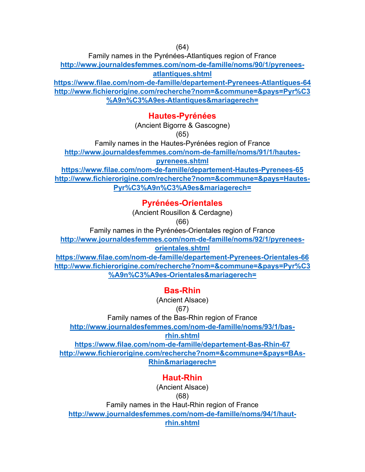(64)

Family names in the Pyrénées-Atlantiques region of France

**http://www.journaldesfemmes.com/nom-de-famille/noms/90/1/pyreneesatlantiques.shtml**

**https://www.filae.com/nom-de-famille/departement-Pyrenees-Atlantiques-64 http://www.fichierorigine.com/recherche?nom=&commune=&pays=Pyr%C3 %A9n%C3%A9es-Atlantiques&mariagerech=**

# **Hautes-Pyrénées**

(Ancient Bigorre & Gascogne)

(65)

Family names in the Hautes-Pyrénées region of France

**http://www.journaldesfemmes.com/nom-de-famille/noms/91/1/hautes-**

**pyrenees.shtml**

**https://www.filae.com/nom-de-famille/departement-Hautes-Pyrenees-65 http://www.fichierorigine.com/recherche?nom=&commune=&pays=Hautes-Pyr%C3%A9n%C3%A9es&mariagerech=**

# **Pyrénées-Orientales**

(Ancient Rousillon & Cerdagne)

(66)

Family names in the Pyrénées-Orientales region of France

**http://www.journaldesfemmes.com/nom-de-famille/noms/92/1/pyrenees-**

**orientales.shtml**

**https://www.filae.com/nom-de-famille/departement-Pyrenees-Orientales-66 http://www.fichierorigine.com/recherche?nom=&commune=&pays=Pyr%C3 %A9n%C3%A9es-Orientales&mariagerech=**

# **Bas-Rhin**

(Ancient Alsace)

(67)

Family names of the Bas-Rhin region of France

**http://www.journaldesfemmes.com/nom-de-famille/noms/93/1/bas-**

**rhin.shtml**

**https://www.filae.com/nom-de-famille/departement-Bas-Rhin-67 http://www.fichierorigine.com/recherche?nom=&commune=&pays=BAs-Rhin&mariagerech=**

# **Haut-Rhin**

(Ancient Alsace)

(68)

Family names in the Haut-Rhin region of France **http://www.journaldesfemmes.com/nom-de-famille/noms/94/1/haut-**

**rhin.shtml**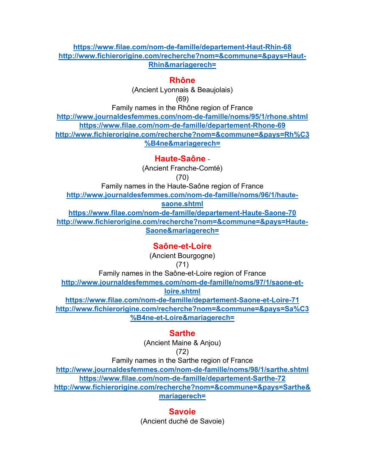#### **https://www.filae.com/nom-de-famille/departement-Haut-Rhin-68 http://www.fichierorigine.com/recherche?nom=&commune=&pays=Haut-Rhin&mariagerech=**

#### **Rhône**

(Ancient Lyonnais & Beaujolais)

(69)

Family names in the Rhône region of France **http://www.journaldesfemmes.com/nom-de-famille/noms/95/1/rhone.shtml https://www.filae.com/nom-de-famille/departement-Rhone-69 http://www.fichierorigine.com/recherche?nom=&commune=&pays=Rh%C3 %B4ne&mariagerech=**

**Haute-Saône** -

(Ancient Franche-Comté)

(70)

Family names in the Haute-Saône region of France **http://www.journaldesfemmes.com/nom-de-famille/noms/96/1/hautesaone.shtml https://www.filae.com/nom-de-famille/departement-Haute-Saone-70 http://www.fichierorigine.com/recherche?nom=&commune=&pays=Haute-Saone&mariagerech=**

### **Saône-et-Loire**

(Ancient Bourgogne)

#### (71)

Family names in the Saône-et-Loire region of France **http://www.journaldesfemmes.com/nom-de-famille/noms/97/1/saone-etloire.shtml**

**https://www.filae.com/nom-de-famille/departement-Saone-et-Loire-71 http://www.fichierorigine.com/recherche?nom=&commune=&pays=Sa%C3 %B4ne-et-Loire&mariagerech=**

### **Sarthe**

(Ancient Maine & Anjou)

(72)

Family names in the Sarthe region of France

**http://www.journaldesfemmes.com/nom-de-famille/noms/98/1/sarthe.shtml https://www.filae.com/nom-de-famille/departement-Sarthe-72 http://www.fichierorigine.com/recherche?nom=&commune=&pays=Sarthe& mariagerech=**

### **Savoie**

(Ancient duché de Savoie)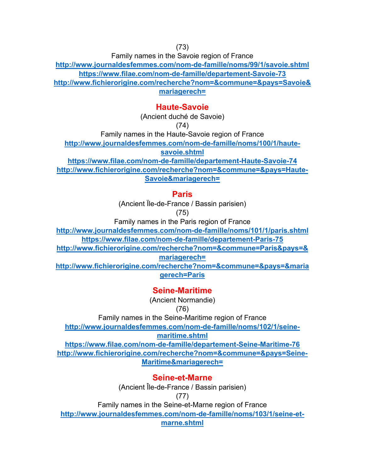Family names in the Savoie region of France

**http://www.journaldesfemmes.com/nom-de-famille/noms/99/1/savoie.shtml https://www.filae.com/nom-de-famille/departement-Savoie-73 http://www.fichierorigine.com/recherche?nom=&commune=&pays=Savoie& mariagerech=**

### **Haute-Savoie**

(Ancient duché de Savoie)

(74)

Family names in the Haute-Savoie region of France

**http://www.journaldesfemmes.com/nom-de-famille/noms/100/1/haute-**

**savoie.shtml**

**https://www.filae.com/nom-de-famille/departement-Haute-Savoie-74 http://www.fichierorigine.com/recherche?nom=&commune=&pays=Haute-Savoie&mariagerech=**

# **Paris**

(Ancient Ïle-de-France / Bassin parisien)

(75)

Family names in the Paris region of France

**http://www.journaldesfemmes.com/nom-de-famille/noms/101/1/paris.shtml https://www.filae.com/nom-de-famille/departement-Paris-75**

**http://www.fichierorigine.com/recherche?nom=&commune=Paris&pays=&**

**mariagerech=**

**http://www.fichierorigine.com/recherche?nom=&commune=&pays=&maria gerech=Paris**

# **Seine-Maritime**

(Ancient Normandie)

(76)

Family names in the Seine-Maritime region of France

**http://www.journaldesfemmes.com/nom-de-famille/noms/102/1/seine-**

**maritime.shtml**

**https://www.filae.com/nom-de-famille/departement-Seine-Maritime-76 http://www.fichierorigine.com/recherche?nom=&commune=&pays=Seine-Maritime&mariagerech=**

# **Seine-et-Marne**

(Ancient Île-de-France / Bassin parisien)

(77)

Family names in the Seine-et-Marne region of France

**http://www.journaldesfemmes.com/nom-de-famille/noms/103/1/seine-et-**

**marne.shtml**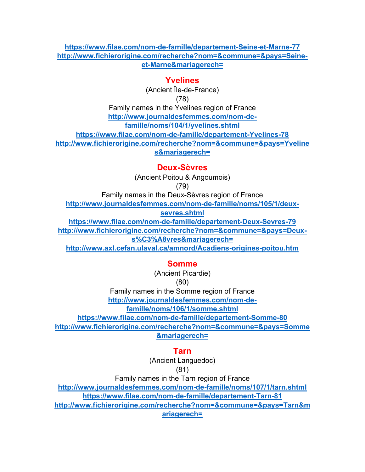#### **https://www.filae.com/nom-de-famille/departement-Seine-et-Marne-77 http://www.fichierorigine.com/recherche?nom=&commune=&pays=Seineet-Marne&mariagerech=**

#### **Yvelines**

(Ancient Île-de-France)

(78)

Family names in the Yvelines region of France

**http://www.journaldesfemmes.com/nom-de-**

**famille/noms/104/1/yvelines.shtml**

**https://www.filae.com/nom-de-famille/departement-Yvelines-78**

**http://www.fichierorigine.com/recherche?nom=&commune=&pays=Yveline**

**s&mariagerech=**

### **Deux-Sèvres**

(Ancient Poitou & Angoumois)

(79)

Family names in the Deux-Sèvres region of France

**http://www.journaldesfemmes.com/nom-de-famille/noms/105/1/deux-**

**sevres.shtml**

**https://www.filae.com/nom-de-famille/departement-Deux-Sevres-79**

**http://www.fichierorigine.com/recherche?nom=&commune=&pays=Deuxs%C3%A8vres&mariagerech=**

**http://www.axl.cefan.ulaval.ca/amnord/Acadiens-origines-poitou.htm**

# **Somme**

(Ancient Picardie)

(80)

Family names in the Somme region of France

**http://www.journaldesfemmes.com/nom-de-**

**famille/noms/106/1/somme.shtml**

**https://www.filae.com/nom-de-famille/departement-Somme-80**

**http://www.fichierorigine.com/recherche?nom=&commune=&pays=Somme &mariagerech=**

# **Tarn**

(Ancient Languedoc)

(81)

Family names in the Tarn region of France

**http://www.journaldesfemmes.com/nom-de-famille/noms/107/1/tarn.shtml https://www.filae.com/nom-de-famille/departement-Tarn-81**

**http://www.fichierorigine.com/recherche?nom=&commune=&pays=Tarn&m ariagerech=**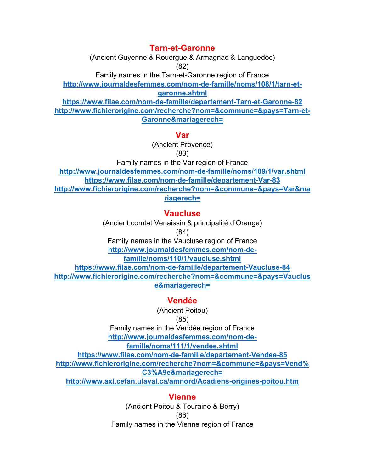### **Tarn-et-Garonne**

(Ancient Guyenne & Rouergue & Armagnac & Languedoc) (82)

Family names in the Tarn-et-Garonne region of France

**http://www.journaldesfemmes.com/nom-de-famille/noms/108/1/tarn-et-**

**garonne.shtml**

**https://www.filae.com/nom-de-famille/departement-Tarn-et-Garonne-82 http://www.fichierorigine.com/recherche?nom=&commune=&pays=Tarn-et-Garonne&mariagerech=**

#### **Var**

(Ancient Provence) (83)

Family names in the Var region of France **http://www.journaldesfemmes.com/nom-de-famille/noms/109/1/var.shtml https://www.filae.com/nom-de-famille/departement-Var-83 http://www.fichierorigine.com/recherche?nom=&commune=&pays=Var&ma riagerech=**

# **Vaucluse**

(Ancient comtat Venaissin & principalité d'Orange)

(84)

Family names in the Vaucluse region of France **http://www.journaldesfemmes.com/nom-defamille/noms/110/1/vaucluse.shtml**

**https://www.filae.com/nom-de-famille/departement-Vaucluse-84 http://www.fichierorigine.com/recherche?nom=&commune=&pays=Vauclus e&mariagerech=**

# **Vendée**

(Ancient Poitou)

### (85)

Family names in the Vendée region of France

**http://www.journaldesfemmes.com/nom-de-**

**famille/noms/111/1/vendee.shtml**

**https://www.filae.com/nom-de-famille/departement-Vendee-85**

**http://www.fichierorigine.com/recherche?nom=&commune=&pays=Vend%**

**C3%A9e&mariagerech=**

**http://www.axl.cefan.ulaval.ca/amnord/Acadiens-origines-poitou.htm**

# **Vienne**

(Ancient Poitou & Touraine & Berry) (86) Family names in the Vienne region of France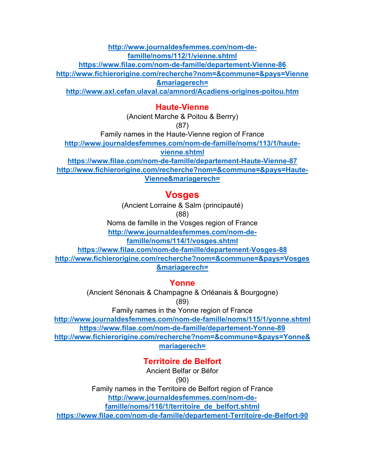**http://www.journaldesfemmes.com/nom-defamille/noms/112/1/vienne.shtml**

**https://www.filae.com/nom-de-famille/departement-Vienne-86**

**http://www.fichierorigine.com/recherche?nom=&commune=&pays=Vienne**

**&mariagerech=**

**http://www.axl.cefan.ulaval.ca/amnord/Acadiens-origines-poitou.htm**

#### **Haute-Vienne**

(Ancient Marche & Poitou & Berrry)

(87)

Family names in the Haute-Vienne region of France

**http://www.journaldesfemmes.com/nom-de-famille/noms/113/1/haute-**

**vienne.shtml**

**https://www.filae.com/nom-de-famille/departement-Haute-Vienne-87 http://www.fichierorigine.com/recherche?nom=&commune=&pays=Haute-Vienne&mariagerech=**

# **Vosges**

(Ancient Lorraine & Salm (principauté)

(88)

Noms de famille in the Vosges region of France

**http://www.journaldesfemmes.com/nom-de-**

**famille/noms/114/1/vosges.shtml**

**https://www.filae.com/nom-de-famille/departement-Vosges-88 http://www.fichierorigine.com/recherche?nom=&commune=&pays=Vosges &mariagerech=**

### **Yonne**

(Ancient Sénonais & Champagne & Orléanais & Bourgogne) (89)

Family names in the Yonne region of France

**http://www.journaldesfemmes.com/nom-de-famille/noms/115/1/yonne.shtml https://www.filae.com/nom-de-famille/departement-Yonne-89**

**http://www.fichierorigine.com/recherche?nom=&commune=&pays=Yonne& mariagerech=**

# **Territoire de Belfort**

Ancient Belfar or Béfor

(90)

Family names in the Territoire de Belfort region of France **http://www.journaldesfemmes.com/nom-de-**

**famille/noms/116/1/territoire\_de\_belfort.shtml**

**https://www.filae.com/nom-de-famille/departement-Territoire-de-Belfort-90**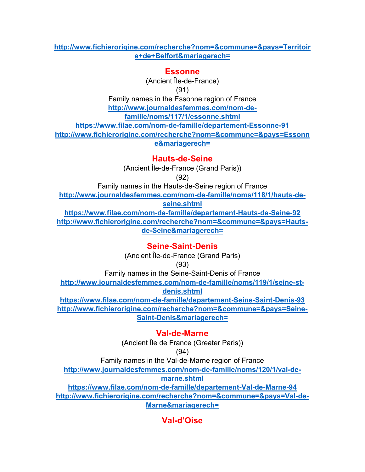#### **http://www.fichierorigine.com/recherche?nom=&commune=&pays=Territoir e+de+Belfort&mariagerech=**

#### **Essonne**

(Ancient Île-de-France) (91)

Family names in the Essonne region of France

**http://www.journaldesfemmes.com/nom-de-**

**famille/noms/117/1/essonne.shtml**

**https://www.filae.com/nom-de-famille/departement-Essonne-91 http://www.fichierorigine.com/recherche?nom=&commune=&pays=Essonn e&mariagerech=**

**Hauts-de-Seine**

(Ancient Île-de-France (Grand Paris)) (92)

Family names in the Hauts-de-Seine region of France

**http://www.journaldesfemmes.com/nom-de-famille/noms/118/1/hauts-deseine.shtml**

**https://www.filae.com/nom-de-famille/departement-Hauts-de-Seine-92 http://www.fichierorigine.com/recherche?nom=&commune=&pays=Hautsde-Seine&mariagerech=**

**Seine-Saint-Denis**

(Ancient Île-de-France (Grand Paris)

(93)

Family names in the Seine-Saint-Denis of France **http://www.journaldesfemmes.com/nom-de-famille/noms/119/1/seine-st-**

**denis.shtml**

**https://www.filae.com/nom-de-famille/departement-Seine-Saint-Denis-93 http://www.fichierorigine.com/recherche?nom=&commune=&pays=Seine-Saint-Denis&mariagerech=**

**Val-de-Marne**

(Ancient Île de France (Greater Paris))

(94)

Family names in the Val-de-Marne region of France

**http://www.journaldesfemmes.com/nom-de-famille/noms/120/1/val-de-**

**marne.shtml**

**https://www.filae.com/nom-de-famille/departement-Val-de-Marne-94 http://www.fichierorigine.com/recherche?nom=&commune=&pays=Val-de-Marne&mariagerech=**

**Val-d'Oise**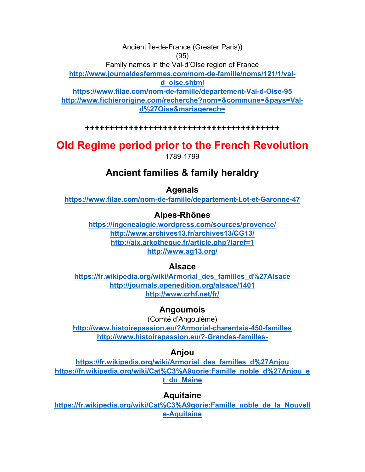Ancient Île-de-France (Greater Paris)) (95) Family names in the Val-d'Oise region of France **http://www.journaldesfemmes.com/nom-de-famille/noms/121/1/vald\_oise.shtml https://www.filae.com/nom-de-famille/departement-Val-d-Oise-95 http://www.fichierorigine.com/recherche?nom=&commune=&pays=Vald%27Oise&mariagerech=**

**++++++++++++++++++++++++++++++++++++++++** 

# **Old Regime period prior to the French Revolution**  1789-1799

# **Ancient families & family heraldry**

#### **Agenais**

**https://www.filae.com/nom-de-famille/departement-Lot-et-Garonne-47**

#### **Alpes-Rhônes**

**https://ingenealogie.wordpress.com/sources/provence/ http://www.archives13.fr/archives13/CG13/ http://aix.arkotheque.fr/article.php?laref=1 http://www.ag13.org/**

#### **Alsace**

**https://fr.wikipedia.org/wiki/Armorial\_des\_familles\_d%27Alsace http://journals.openedition.org/alsace/1401 http://www.crhf.net/fr/**

#### **Angoumois**

(Comté d'Angoulême) **http://www.histoirepassion.eu/?Armorial-charentais-450-familles http://www.histoirepassion.eu/?-Grandes-familles-**

#### **Anjou**

**https://fr.wikipedia.org/wiki/Armorial\_des\_familles\_d%27Anjou https://fr.wikipedia.org/wiki/Cat%C3%A9gorie:Famille\_noble\_d%27Anjou\_e t\_du\_Maine**

#### **Aquitaine**

**https://fr.wikipedia.org/wiki/Cat%C3%A9gorie:Famille\_noble\_de\_la\_Nouvell e-Aquitaine**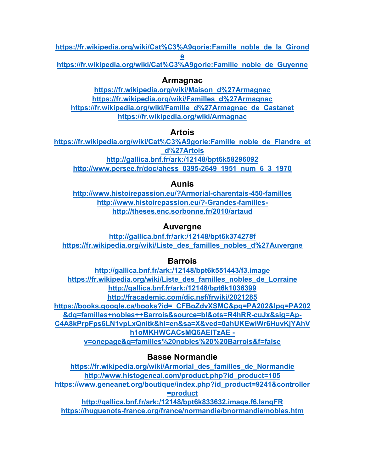**https://fr.wikipedia.org/wiki/Cat%C3%A9gorie:Famille\_noble\_de\_la\_Girond e**

**https://fr.wikipedia.org/wiki/Cat%C3%A9gorie:Famille\_noble\_de\_Guyenne**

# **Armagnac**

**https://fr.wikipedia.org/wiki/Maison\_d%27Armagnac https://fr.wikipedia.org/wiki/Familles\_d%27Armagnac https://fr.wikipedia.org/wiki/Famille\_d%27Armagnac\_de\_Castanet https://fr.wikipedia.org/wiki/Armagnac**

# **Artois**

**https://fr.wikipedia.org/wiki/Cat%C3%A9gorie:Famille\_noble\_de\_Flandre\_et \_d%27Artois http://gallica.bnf.fr/ark:/12148/bpt6k58296092 http://www.persee.fr/doc/ahess\_0395-2649\_1951\_num\_6\_3\_1970**

# **Aunis**

**http://www.histoirepassion.eu/?Armorial-charentais-450-familles http://www.histoirepassion.eu/?-Grandes-familleshttp://theses.enc.sorbonne.fr/2010/artaud**

# **Auvergne**

**http://gallica.bnf.fr/ark:/12148/bpt6k374278f https://fr.wikipedia.org/wiki/Liste\_des\_familles\_nobles\_d%27Auvergne**

# **Barrois**

**http://gallica.bnf.fr/ark:/12148/bpt6k551443/f3.image https://fr.wikipedia.org/wiki/Liste\_des\_familles\_nobles\_de\_Lorraine http://gallica.bnf.fr/ark:/12148/bpt6k1036399 http://fracademic.com/dic.nsf/frwiki/2021285 https://books.google.ca/books?id=\_CFBoZdvXSMC&pg=PA202&lpg=PA202 &dq=familles+nobles++Barrois&source=bl&ots=R4hRR-cuJx&sig=Ap-C4A8kPrpFps6LN1vpLxQnitk&hl=en&sa=X&ved=0ahUKEwiWr6HuvKjYAhV h1oMKHWCACsMQ6AEITzAE v=onepage&q=familles%20nobles%20%20Barrois&f=false**

# **Basse Normandie**

**https://fr.wikipedia.org/wiki/Armorial\_des\_familles\_de\_Normandie http://www.histogeneal.com/product.php?id\_product=105 https://www.geneanet.org/boutique/index.php?id\_product=9241&controller =product http://gallica.bnf.fr/ark:/12148/bpt6k833632.image.f6.langFR https://huguenots-france.org/france/normandie/bnormandie/nobles.htm**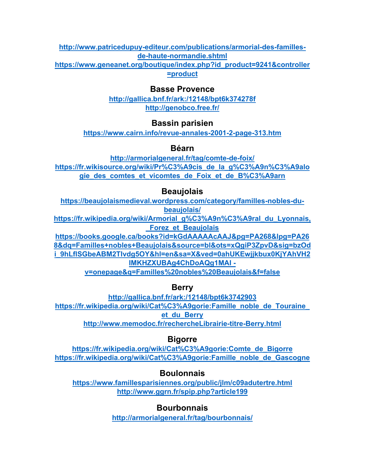**http://www.patricedupuy-editeur.com/publications/armorial-des-famillesde-haute-normandie.shtml**

**https://www.geneanet.org/boutique/index.php?id\_product=9241&controller =product**

### **Basse Provence**

**http://gallica.bnf.fr/ark:/12148/bpt6k374278f http://genobco.free.fr/**

# **Bassin parisien**

**https://www.cairn.info/revue-annales-2001-2-page-313.htm**

# **Béarn**

**http://armorialgeneral.fr/tag/comte-de-foix/ https://fr.wikisource.org/wiki/Pr%C3%A9cis\_de\_la\_g%C3%A9n%C3%A9alo gie\_des\_comtes\_et\_vicomtes\_de\_Foix\_et\_de\_B%C3%A9arn**

# **Beaujolais**

**https://beaujolaismedieval.wordpress.com/category/familles-nobles-dubeaujolais/**

**https://fr.wikipedia.org/wiki/Armorial\_g%C3%A9n%C3%A9ral\_du\_Lyonnais, \_Forez\_et\_Beaujolais**

**https://books.google.ca/books?id=kGdAAAAAcAAJ&pg=PA268&lpg=PA26 8&dq=Familles+nobles+Beaujolais&source=bl&ots=xQgiP3ZpvD&sig=bzOd i\_9hLflSGbeABM2TIvdg5OY&hl=en&sa=X&ved=0ahUKEwjjkbux0KjYAhVH2 IMKHZXUBAg4ChDoAQg1MAI v=onepage&q=Familles%20nobles%20Beaujolais&f=false**

**Berry** 

**http://gallica.bnf.fr/ark:/12148/bpt6k3742903 https://fr.wikipedia.org/wiki/Cat%C3%A9gorie:Famille\_noble\_de\_Touraine\_ et\_du\_Berry http://www.memodoc.fr/rechercheLibrairie-titre-Berry.html**

# **Bigorre**

**https://fr.wikipedia.org/wiki/Cat%C3%A9gorie:Comte\_de\_Bigorre https://fr.wikipedia.org/wiki/Cat%C3%A9gorie:Famille\_noble\_de\_Gascogne**

# **Boulonnais**

**https://www.famillesparisiennes.org/public/jlm/c09adutertre.html http://www.ggrn.fr/spip.php?article199**

# **Bourbonnais**

**http://armorialgeneral.fr/tag/bourbonnais/**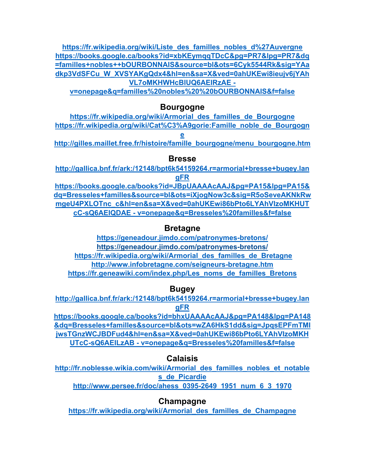**https://fr.wikipedia.org/wiki/Liste\_des\_familles\_nobles\_d%27Auvergne https://books.google.ca/books?id=xbKEymqqTDcC&pg=PR7&lpg=PR7&dq =familles+nobles++bOURBONNAIS&source=bl&ots=6Cyk5544Rk&sig=YAa dkp3VdSFCu\_W\_XVSYAKgQdx4&hl=en&sa=X&ved=0ahUKEwi8ieujv6jYAh VL7oMKHWHcBlUQ6AEIRzAE -**

**v=onepage&q=familles%20nobles%20%20bOURBONNAIS&f=false**

### **Bourgogne**

**https://fr.wikipedia.org/wiki/Armorial\_des\_familles\_de\_Bourgogne https://fr.wikipedia.org/wiki/Cat%C3%A9gorie:Famille\_noble\_de\_Bourgogn e http://gilles.maillet.free.fr/histoire/famille\_bourgogne/menu\_bourgogne.htm**

#### **Bresse**

**http://gallica.bnf.fr/ark:/12148/bpt6k54159264.r=armorial+bresse+bugey.lan gFR**

**https://books.google.ca/books?id=JBpUAAAAcAAJ&pg=PA15&lpg=PA15& dq=Bresseles+familles&source=bl&ots=iXjogNow3c&sig=R5oSeveAKNkRw mgeU4PXLOTnc\_c&hl=en&sa=X&ved=0ahUKEwi86bPto6LYAhVIzoMKHUT cC-sQ6AEIQDAE - v=onepage&q=Bresseles%20familles&f=false**

### **Bretagne**

**https://geneadour.jimdo.com/patronymes-bretons/ https://geneadour.jimdo.com/patronymes-bretons/ https://fr.wikipedia.org/wiki/Armorial\_des\_familles\_de\_Bretagne http://www.infobretagne.com/seigneurs-bretagne.htm https://fr.geneawiki.com/index.php/Les\_noms\_de\_familles\_Bretons**

### **Bugey**

**http://gallica.bnf.fr/ark:/12148/bpt6k54159264.r=armorial+bresse+bugey.lan gFR**

**https://books.google.ca/books?id=bhxUAAAAcAAJ&pg=PA148&lpg=PA148 &dq=Bresseles+familles&source=bl&ots=wZA6HkS1dd&sig=JpqsEPFmTMI jwsTGnzWCJBDFud4&hl=en&sa=X&ved=0ahUKEwi86bPto6LYAhVIzoMKH UTcC-sQ6AEILzAB - v=onepage&q=Bresseles%20familles&f=false**

### **Calaisis**

**http://fr.noblesse.wikia.com/wiki/Armorial\_des\_familles\_nobles\_et\_notable s\_de\_Picardie**

**http://www.persee.fr/doc/ahess\_0395-2649\_1951\_num\_6\_3\_1970**

# **Champagne**

**https://fr.wikipedia.org/wiki/Armorial\_des\_familles\_de\_Champagne**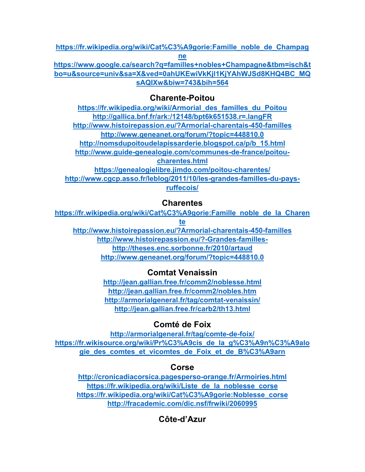**https://fr.wikipedia.org/wiki/Cat%C3%A9gorie:Famille\_noble\_de\_Champag ne https://www.google.ca/search?q=familles+nobles+Champagne&tbm=isch&t**

**bo=u&source=univ&sa=X&ved=0ahUKEwiVkKjl1KjYAhWJSd8KHQ4BC\_MQ sAQIXw&biw=743&bih=564**

# **Charente-Poitou**

**https://fr.wikipedia.org/wiki/Armorial\_des\_familles\_du\_Poitou http://gallica.bnf.fr/ark:/12148/bpt6k651538.r=.langFR http://www.histoirepassion.eu/?Armorial-charentais-450-familles http://www.geneanet.org/forum/?topic=448810.0 http://nomsdupoitoudelapissarderie.blogspot.ca/p/b\_15.html http://www.guide-genealogie.com/communes-de-france/poitoucharentes.html https://genealogielibre.jimdo.com/poitou-charentes/ http://www.cgcp.asso.fr/leblog/2011/10/les-grandes-familles-du-paysruffecois/**

# **Charentes**

**https://fr.wikipedia.org/wiki/Cat%C3%A9gorie:Famille\_noble\_de\_la\_Charen te**

**http://www.histoirepassion.eu/?Armorial-charentais-450-familles http://www.histoirepassion.eu/?-Grandes-familleshttp://theses.enc.sorbonne.fr/2010/artaud http://www.geneanet.org/forum/?topic=448810.0**

# **Comtat Venaissin**

**http://jean.gallian.free.fr/comm2/noblesse.html http://jean.gallian.free.fr/comm2/nobles.htm http://armorialgeneral.fr/tag/comtat-venaissin/ http://jean.gallian.free.fr/carb2/th13.html**

# **Comté de Foix**

**http://armorialgeneral.fr/tag/comte-de-foix/ https://fr.wikisource.org/wiki/Pr%C3%A9cis\_de\_la\_g%C3%A9n%C3%A9alo gie\_des\_comtes\_et\_vicomtes\_de\_Foix\_et\_de\_B%C3%A9arn**

# **Corse**

**http://cronicadiacorsica.pagesperso-orange.fr/Armoiries.html https://fr.wikipedia.org/wiki/Liste\_de\_la\_noblesse\_corse https://fr.wikipedia.org/wiki/Cat%C3%A9gorie:Noblesse\_corse http://fracademic.com/dic.nsf/frwiki/2060995**

# **Côte-d'Azur**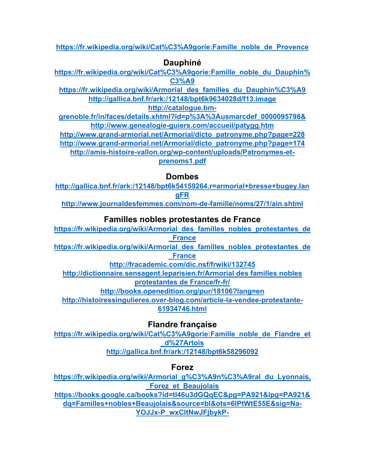**https://fr.wikipedia.org/wiki/Cat%C3%A9gorie:Famille\_noble\_de\_Provence**

# **Dauphiné**

**https://fr.wikipedia.org/wiki/Cat%C3%A9gorie:Famille\_noble\_du\_Dauphin% C3%A9**

**https://fr.wikipedia.org/wiki/Armorial\_des\_familles\_du\_Dauphin%C3%A9 http://gallica.bnf.fr/ark:/12148/bpt6k9634028d/f13.image**

**http://catalogue.bm-**

**grenoble.fr/in/faces/details.xhtml?id=p%3A%3Ausmarcdef\_0000095798& http://www.genealogie-guiers.com/accueil/patygg.htm**

**http://www.grand-armorial.net/Armorial/dicto\_patronyme.php?page=228 http://www.grand-armorial.net/Armorial/dicto\_patronyme.php?page=174**

**http://amis-histoire-vallon.org/wp-content/uploads/Patronymes-et-**

**prenoms1.pdf**

# **Dombes**

**http://gallica.bnf.fr/ark:/12148/bpt6k54159264.r=armorial+bresse+bugey.lan gFR**

**http://www.journaldesfemmes.com/nom-de-famille/noms/27/1/ain.shtml**

# **Familles nobles protestantes de France**

**https://fr.wikipedia.org/wiki/Armorial\_des\_familles\_nobles\_protestantes\_de \_France**

**https://fr.wikipedia.org/wiki/Armorial\_des\_familles\_nobles\_protestantes\_de \_France**

**http://fracademic.com/dic.nsf/frwiki/132745**

**http://dictionnaire.sensagent.leparisien.fr/Armorial des familles nobles protestantes de France/fr-fr/**

**http://books.openedition.org/pur/18106?lang=en**

**http://histoiressingulieres.over-blog.com/article-la-vendee-protestante-61934746.html**

**Flandre française** 

**https://fr.wikipedia.org/wiki/Cat%C3%A9gorie:Famille\_noble\_de\_Flandre\_et \_d%27Artois http://gallica.bnf.fr/ark:/12148/bpt6k58296092**

**Forez** 

**https://fr.wikipedia.org/wiki/Armorial\_g%C3%A9n%C3%A9ral\_du\_Lyonnais, \_Forez\_et\_Beaujolais**

**https://books.google.ca/books?id=tl46u3dGQqEC&pg=PA921&lpg=PA921& dq=Familles+nobles+Beaujolais&source=bl&ots=6IPtWtE55E&sig=Na-YOJJx-P\_wxCltNwJFjbykP-**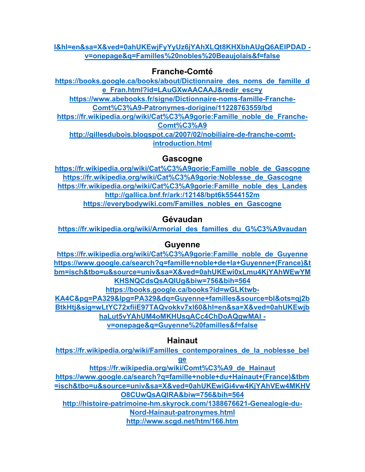#### **I&hl=en&sa=X&ved=0ahUKEwjFyYyUz6jYAhXLQt8KHXbhAUgQ6AEIPDAD v=onepage&q=Familles%20nobles%20Beaujolais&f=false**

# **Franche-Comté**

**https://books.google.ca/books/about/Dictionnaire\_des\_noms\_de\_famille\_d e\_Fran.html?id=LAuGXwAACAAJ&redir\_esc=y https://www.abebooks.fr/signe/Dictionnaire-noms-famille-Franche-Comt%C3%A9-Patronymes-dorigine/11228763559/bd https://fr.wikipedia.org/wiki/Cat%C3%A9gorie:Famille\_noble\_de\_Franche-Comt%C3%A9 http://gillesdubois.blogspot.ca/2007/02/nobiliaire-de-franche-comtintroduction.html**

### **Gascogne**

**https://fr.wikipedia.org/wiki/Cat%C3%A9gorie:Famille\_noble\_de\_Gascogne https://fr.wikipedia.org/wiki/Cat%C3%A9gorie:Noblesse\_de\_Gascogne https://fr.wikipedia.org/wiki/Cat%C3%A9gorie:Famille\_noble\_des\_Landes http://gallica.bnf.fr/ark:/12148/bpt6k5544152m https://everybodywiki.com/Familles\_nobles\_en\_Gascogne**

# **Gévaudan**

**https://fr.wikipedia.org/wiki/Armorial\_des\_familles\_du\_G%C3%A9vaudan**

# **Guyenne**

**https://fr.wikipedia.org/wiki/Cat%C3%A9gorie:Famille\_noble\_de\_Guyenne https://www.google.ca/search?q=famille+noble+de+la+Guyenne+(France)&t bm=isch&tbo=u&source=univ&sa=X&ved=0ahUKEwi0xLmu4KjYAhWEwYM KHSNQCdsQsAQIUg&biw=756&bih=564 https://books.google.ca/books?id=wGLKtwb-KA4C&pg=PA329&lpg=PA329&dq=Guyenne+familles&source=bl&ots=qj2b BtkHtj&sig=wLtYC72xfiiE97TAQvokkv7xl60&hl=en&sa=X&ved=0ahUKEwjb haLut5vYAhUM4oMKHUsqACc4ChDoAQgwMAI v=onepage&q=Guyenne%20familles&f=false**

# **Hainaut**

**https://fr.wikipedia.org/wiki/Familles\_contemporaines\_de\_la\_noblesse\_bel**

**ge**

**https://fr.wikipedia.org/wiki/Comt%C3%A9\_de\_Hainaut https://www.google.ca/search?q=famille+noble+du+Hainaut+(France)&tbm =isch&tbo=u&source=univ&sa=X&ved=0ahUKEwiGi4vw4KjYAhVEw4MKHV O8CUwQsAQIRA&biw=756&bih=564**

**http://histoire-patrimoine-hm.skyrock.com/1388676621-Genealogie-du-Nord-Hainaut-patronymes.html**

**http://www.scgd.net/htm/166.htm**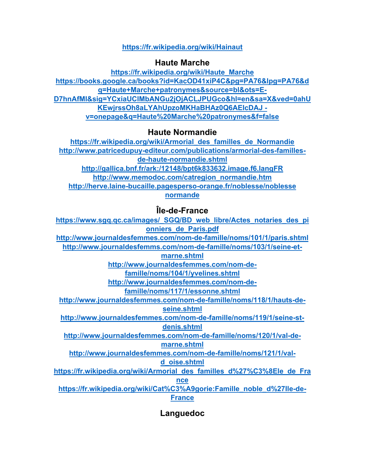#### **https://fr.wikipedia.org/wiki/Hainaut**

### **Haute Marche**

**https://fr.wikipedia.org/wiki/Haute\_Marche https://books.google.ca/books?id=KacOD41xiP4C&pg=PA76&lpg=PA76&d q=Haute+Marche+patronymes&source=bl&ots=E-D7hnAfMI&sig=YCxiaUClMbANGu2jOjACLJPUGco&hl=en&sa=X&ved=0ahU KEwjrssOh8aLYAhUpzoMKHaBHAz0Q6AEIcDAJ v=onepage&q=Haute%20Marche%20patronymes&f=false**

# **Haute Normandie**

**https://fr.wikipedia.org/wiki/Armorial\_des\_familles\_de\_Normandie http://www.patricedupuy-editeur.com/publications/armorial-des-famillesde-haute-normandie.shtml http://gallica.bnf.fr/ark:/12148/bpt6k833632.image.f6.langFR http://www.memodoc.com/catregion\_normandie.htm http://herve.laine-bucaille.pagesperso-orange.fr/noblesse/noblesse normande**

# **Île-de-France**

**https://www.sgq.qc.ca/images/\_SGQ/BD\_web\_libre/Actes\_notaries\_des\_pi onniers\_de\_Paris.pdf http://www.journaldesfemmes.com/nom-de-famille/noms/101/1/paris.shtml http://www.journaldesfemms.com/nom-de-famille/noms/103/1/seine-etmarne.shtml http://www.journaldesfemmes.com/nom-defamille/noms/104/1/yvelines.shtml http://www.journaldesfemmes.com/nom-defamille/noms/117/1/essonne.shtml http://www.journaldesfemmes.com/nom-de-famille/noms/118/1/hauts-deseine.shtml http://www.journaldesfemmes.com/nom-de-famille/noms/119/1/seine-stdenis.shtml http://www.journaldesfemmes.com/nom-de-famille/noms/120/1/val-demarne.shtml http://www.journaldesfemmes.com/nom-de-famille/noms/121/1/vald\_oise.shtml https://fr.wikipedia.org/wiki/Armorial\_des\_familles\_d%27%C3%8Ele\_de\_Fra nce https://fr.wikipedia.org/wiki/Cat%C3%A9gorie:Famille\_noble\_d%27Ile-de-France**

**Languedoc**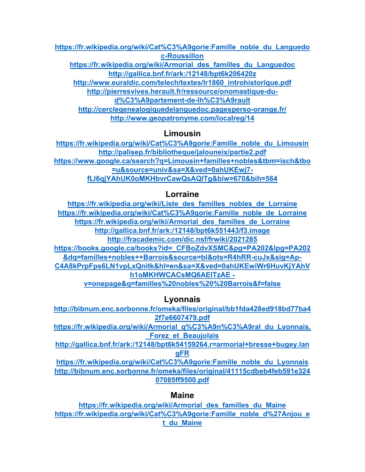**https://fr.wikipedia.org/wiki/Cat%C3%A9gorie:Famille\_noble\_du\_Languedo c-Roussillon**

**https://fr.wikipedia.org/wiki/Armorial\_des\_familles\_du\_Languedoc http://gallica.bnf.fr/ark:/12148/bpt6k206420z**

**http://www.euraldic.com/telech/textes/lr1860\_introhistorique.pdf**

**http://pierresvives.herault.fr/ressource/onomastique-dud%C3%A9partement-de-lh%C3%A9rault**

**http://cerclegenealogiquedelanguedoc.pagesperso-orange.fr/ http://www.geopatronyme.com/localreg/14**

# **Limousin**

**https://fr.wikipedia.org/wiki/Cat%C3%A9gorie:Famille\_noble\_du\_Limousin http://palisep.fr/bibliotheque/jalouneix/partie2.pdf https://www.google.ca/search?q=Limousin+familles+nobles&tbm=isch&tbo =u&source=univ&sa=X&ved=0ahUKEwj7 fLl6qjYAhUK0oMKHbvrCawQsAQITg&biw=670&bih=564**

# **Lorraine**

**https://fr.wikipedia.org/wiki/Liste\_des\_familles\_nobles\_de\_Lorraine https://fr.wikipedia.org/wiki/Cat%C3%A9gorie:Famille\_noble\_de\_Lorraine https://fr.wikipedia.org/wiki/Armorial\_des\_familles\_de\_Lorraine http://gallica.bnf.fr/ark:/12148/bpt6k551443/f3.image http://fracademic.com/dic.nsf/frwiki/2021285 https://books.google.ca/books?id=\_CFBoZdvXSMC&pg=PA202&lpg=PA202 &dq=familles+nobles++Barrois&source=bl&ots=R4hRR-cuJx&sig=Ap-C4A8kPrpFps6LN1vpLxQnitk&hl=en&sa=X&ved=0ahUKEwiWr6HuvKjYAhV h1oMKHWCACsMQ6AEITzAE v=onepage&q=familles%20nobles%20%20Barrois&f=false**

# **Lyonnais**

**http://bibnum.enc.sorbonne.fr/omeka/files/original/bb1fda428ed918bd77ba4 2f7e6607479.pdf**

**https://fr.wikipedia.org/wiki/Armorial\_g%C3%A9n%C3%A9ral\_du\_Lyonnais, \_Forez\_et\_Beaujolais**

**http://gallica.bnf.fr/ark:/12148/bpt6k54159264.r=armorial+bresse+bugey.lan gFR**

**https://fr.wikipedia.org/wiki/Cat%C3%A9gorie:Famille\_noble\_du\_Lyonnais http://bibnum.enc.sorbonne.fr/omeka/files/original/41115cdbeb4feb591e324 07085ff9500.pdf**

# **Maine**

**https://fr.wikipedia.org/wiki/Armorial\_des\_familles\_du\_Maine https://fr.wikipedia.org/wiki/Cat%C3%A9gorie:Famille\_noble\_d%27Anjou\_e t\_du\_Maine**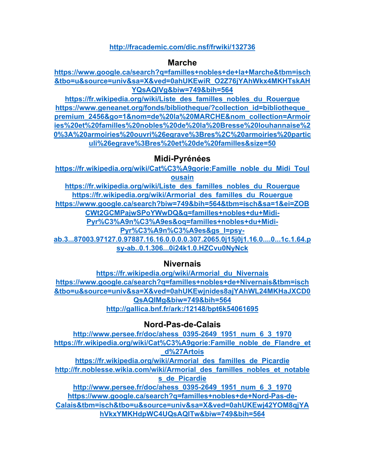#### **http://fracademic.com/dic.nsf/frwiki/132736**

#### **Marche**

**https://www.google.ca/search?q=familles+nobles+de+la+Marche&tbm=isch &tbo=u&source=univ&sa=X&ved=0ahUKEwiR\_O2Z76jYAhWkx4MKHTskAH YQsAQIVg&biw=749&bih=564**

**https://fr.wikipedia.org/wiki/Liste\_des\_familles\_nobles\_du\_Rouergue https://www.geneanet.org/fonds/bibliotheque/?collection\_id=bibliotheque\_ premium\_2456&go=1&nom=de%20la%20MARCHE&nom\_collection=Armoir ies%20et%20familles%20nobles%20de%20la%20Bresse%20louhannaise%2 0%3A%20armoiries%20ouvri%26egrave%3Bres%2C%20armoiries%20partic uli%26egrave%3Bres%20et%20de%20familles&size=50**

### **Midi-Pyrénées**

**https://fr.wikipedia.org/wiki/Cat%C3%A9gorie:Famille\_noble\_du\_Midi\_Toul ousain https://fr.wikipedia.org/wiki/Liste\_des\_familles\_nobles\_du\_Rouergue**

**https://fr.wikipedia.org/wiki/Armorial\_des\_familles\_du\_Rouergue https://www.google.ca/search?biw=749&bih=564&tbm=isch&sa=1&ei=ZOB CWt2GCMPajwSPoYWwDQ&q=familles+nobles+du+Midi-Pyr%C3%A9n%C3%A9es&oq=familles+nobles+du+Midi-Pyr%C3%A9n%C3%A9es&gs\_l=psy-**

**ab.3...87003.97127.0.97887.16.16.0.0.0.0.307.2065.0j15j0j1.16.0....0...1c.1.64.p sy-ab..0.1.306...0i24k1.0.HZCvu0NyNck**

#### **Nivernais**

**https://fr.wikipedia.org/wiki/Armorial\_du\_Nivernais https://www.google.ca/search?q=familles+nobles+de+Nivernais&tbm=isch &tbo=u&source=univ&sa=X&ved=0ahUKEwjnides8ajYAhWL24MKHaJXCD0 QsAQIMg&biw=749&bih=564 http://gallica.bnf.fr/ark:/12148/bpt6k54061695**

**Nord-Pas-de-Calais** 

**http://www.persee.fr/doc/ahess\_0395-2649\_1951\_num\_6\_3\_1970 https://fr.wikipedia.org/wiki/Cat%C3%A9gorie:Famille\_noble\_de\_Flandre\_et \_d%27Artois https://fr.wikipedia.org/wiki/Armorial\_des\_familles\_de\_Picardie http://fr.noblesse.wikia.com/wiki/Armorial\_des\_familles\_nobles\_et\_notable s\_de\_Picardie http://www.persee.fr/doc/ahess\_0395-2649\_1951\_num\_6\_3\_1970 https://www.google.ca/search?q=familles+nobles+de+Nord-Pas-de-Calais&tbm=isch&tbo=u&source=univ&sa=X&ved=0ahUKEwj42YOM8qjYA hVkxYMKHdpWC4UQsAQITw&biw=749&bih=564**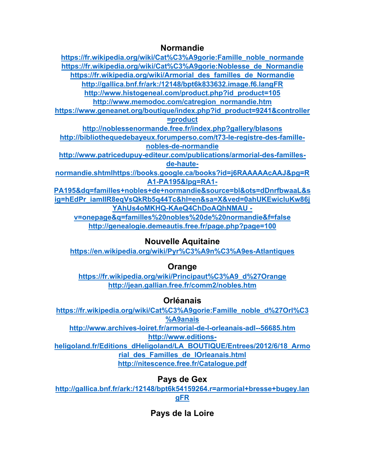### **Normandie**

| https://fr.wikipedia.org/wiki/Cat%C3%A9gorie:Famille noble normande     |
|-------------------------------------------------------------------------|
| https://fr.wikipedia.org/wiki/Cat%C3%A9gorie:Noblesse de Normandie      |
| https://fr.wikipedia.org/wiki/Armorial des familles de Normandie        |
| http://gallica.bnf.fr/ark:/12148/bpt6k833632.image.f6.langFR            |
| http://www.histogeneal.com/product.php?id product=105                   |
| http://www.memodoc.com/catregion_normandie.htm                          |
| https://www.geneanet.org/boutique/index.php?id product=9241&controller  |
| $=$ product                                                             |
| http://noblessenormande.free.fr/index.php?gallery/blasons               |
| http://bibliothequedebayeux.forumperso.com/t73-le-registre-des-famille- |
| nobles-de-normandie                                                     |
| http://www.patricedupuy-editeur.com/publications/armorial-des-familles- |
| de-haute-                                                               |
| normandie.shtmlhttps://books.google.ca/books?id=j6RAAAAAAcAAJ&pg=R      |
| A1-PA195&lpg=RA1-                                                       |
| PA195&dq=familles+nobles+de+normandie&source=bl&ots=dDnrfbwaaL&s        |
| ig=hEdPr iamIIR8eqVsQkRb5q44Tc&hl=en&sa=X&ved=0ahUKEwicluKw86j          |
| YAhUs4oMKHQ-KAeQ4ChDoAQhNMAU -                                          |
|                                                                         |

**v=onepage&q=familles%20nobles%20de%20normandie&f=false http://genealogie.demeautis.free.fr/page.php?page=100**

# **Nouvelle Aquitaine**

**https://en.wikipedia.org/wiki/Pyr%C3%A9n%C3%A9es-Atlantiques**

# **Orange**

**https://fr.wikipedia.org/wiki/Principaut%C3%A9\_d%27Orange http://jean.gallian.free.fr/comm2/nobles.htm**

# **Orléanais**

**https://fr.wikipedia.org/wiki/Cat%C3%A9gorie:Famille\_noble\_d%27Orl%C3 %A9anais http://www.archives-loiret.fr/armorial-de-l-orleanais-adl--56685.htm http://www.editions-**

**heligoland.fr/Editions\_dHeligoland/LA\_BOUTIQUE/Entrees/2012/6/18\_Armo rial\_des\_Familles\_de\_lOrleanais.html http://nitescence.free.fr/Catalogue.pdf**

# **Pays de Gex**

**http://gallica.bnf.fr/ark:/12148/bpt6k54159264.r=armorial+bresse+bugey.lan gFR**

# **Pays de la Loire**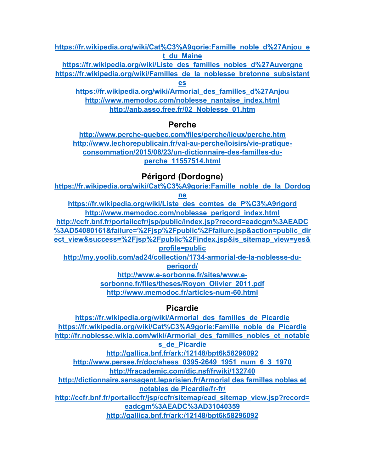**https://fr.wikipedia.org/wiki/Cat%C3%A9gorie:Famille\_noble\_d%27Anjou\_e t\_du\_Maine**

**https://fr.wikipedia.org/wiki/Liste\_des\_familles\_nobles\_d%27Auvergne https://fr.wikipedia.org/wiki/Familles\_de\_la\_noblesse\_bretonne\_subsistant**

**es**

**https://fr.wikipedia.org/wiki/Armorial\_des\_familles\_d%27Anjou http://www.memodoc.com/noblesse\_nantaise\_index.html http://anb.asso.free.fr/02\_Noblesse\_01.htm**

# **Perche**

**http://www.perche-quebec.com/files/perche/lieux/perche.htm http://www.lechorepublicain.fr/val-au-perche/loisirs/vie-pratiqueconsommation/2015/08/23/un-dictionnaire-des-familles-duperche\_11557514.html**

# **Périgord (Dordogne)**

**https://fr.wikipedia.org/wiki/Cat%C3%A9gorie:Famille\_noble\_de\_la\_Dordog**

**ne**

**https://fr.wikipedia.org/wiki/Liste\_des\_comtes\_de\_P%C3%A9rigord http://www.memodoc.com/noblesse\_perigord\_index.html**

**http://ccfr.bnf.fr/portailccfr/jsp/public/index.jsp?record=eadcgm%3AEADC %3AD54080161&failure=%2Fjsp%2Fpublic%2Ffailure.jsp&action=public\_dir**

**ect\_view&success=%2Fjsp%2Fpublic%2Findex.jsp&is\_sitemap\_view=yes& profile=public**

**http://my.yoolib.com/ad24/collection/1734-armorial-de-la-noblesse-duperigord/**

**http://www.e-sorbonne.fr/sites/www.esorbonne.fr/files/theses/Royon\_Olivier\_2011.pdf http://www.memodoc.fr/articles-num-60.html**

# **Picardie**

**https://fr.wikipedia.org/wiki/Armorial\_des\_familles\_de\_Picardie https://fr.wikipedia.org/wiki/Cat%C3%A9gorie:Famille\_noble\_de\_Picardie http://fr.noblesse.wikia.com/wiki/Armorial\_des\_familles\_nobles\_et\_notable s\_de\_Picardie http://gallica.bnf.fr/ark:/12148/bpt6k58296092 http://www.persee.fr/doc/ahess\_0395-2649\_1951\_num\_6\_3\_1970 http://fracademic.com/dic.nsf/frwiki/132740 http://dictionnaire.sensagent.leparisien.fr/Armorial des familles nobles et notables de Picardie/fr-fr/ http://ccfr.bnf.fr/portailccfr/jsp/ccfr/sitemap/ead\_sitemap\_view.jsp?record= eadcgm%3AEADC%3AD31040359 http://gallica.bnf.fr/ark:/12148/bpt6k58296092**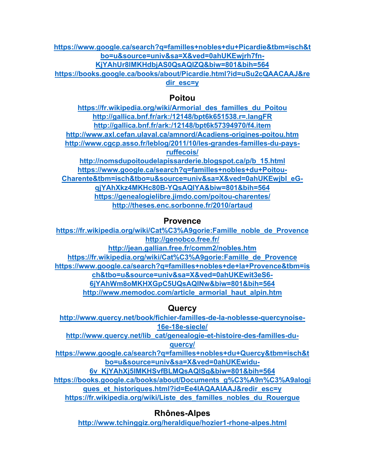**https://www.google.ca/search?q=familles+nobles+du+Picardie&tbm=isch&t bo=u&source=univ&sa=X&ved=0ahUKEwjrh7fn-KjYAhUr8IMKHdbjAS0QsAQIZQ&biw=801&bih=564 https://books.google.ca/books/about/Picardie.html?id=uSu2cQAACAAJ&re**

**dir\_esc=y**

# **Poitou**

**https://fr.wikipedia.org/wiki/Armorial\_des\_familles\_du\_Poitou http://gallica.bnf.fr/ark:/12148/bpt6k651538.r=.langFR http://gallica.bnf.fr/ark:/12148/bpt6k57394970/f4.item http://www.axl.cefan.ulaval.ca/amnord/Acadiens-origines-poitou.htm http://www.cgcp.asso.fr/leblog/2011/10/les-grandes-familles-du-paysruffecois/ http://nomsdupoitoudelapissarderie.blogspot.ca/p/b\_15.html**

**https://www.google.ca/search?q=familles+nobles+du+Poitou-Charente&tbm=isch&tbo=u&source=univ&sa=X&ved=0ahUKEwjbl\_eGqjYAhXkz4MKHc80B-YQsAQIYA&biw=801&bih=564 https://genealogielibre.jimdo.com/poitou-charentes/ http://theses.enc.sorbonne.fr/2010/artaud**

# **Provence**

**https://fr.wikipedia.org/wiki/Cat%C3%A9gorie:Famille\_noble\_de\_Provence http://genobco.free.fr/ http://jean.gallian.free.fr/comm2/nobles.htm https://fr.wikipedia.org/wiki/Cat%C3%A9gorie:Famille\_de\_Provence https://www.google.ca/search?q=familles+nobles+de+la+Provence&tbm=is ch&tbo=u&source=univ&sa=X&ved=0ahUKEwit3eS6- 6jYAhWm8oMKHXGpC5UQsAQINw&biw=801&bih=564 http://www.memodoc.com/article\_armorial\_haut\_alpin.htm**

**Quercy** 

**http://www.quercy.net/book/fichier-familles-de-la-noblesse-quercynoise-16e-18e-siecle/**

**http://www.quercy.net/lib\_cat/genealogie-et-histoire-des-familles-du-**

**quercy/**

**https://www.google.ca/search?q=familles+nobles+du+Quercy&tbm=isch&t bo=u&source=univ&sa=X&ved=0ahUKEwidu-**

**6v\_KjYAhXj5IMKHSvfBLMQsAQISg&biw=801&bih=564**

**https://books.google.ca/books/about/Documents\_g%C3%A9n%C3%A9alogi ques\_et\_historiques.html?id=Ee4IAQAAIAAJ&redir\_esc=y**

**https://fr.wikipedia.org/wiki/Liste\_des\_familles\_nobles\_du\_Rouergue**

**Rhônes-Alpes** 

**http://www.tchinggiz.org/heraldique/hozier1-rhone-alpes.html**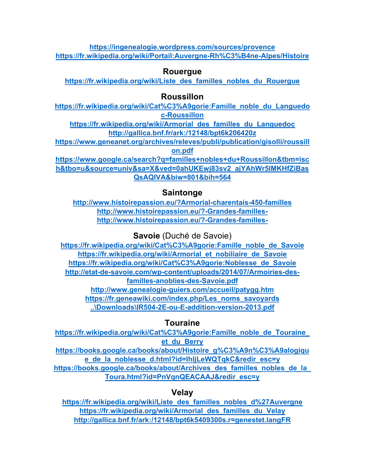**https://ingenealogie.wordpress.com/sources/provence https://fr.wikipedia.org/wiki/Portail:Auvergne-Rh%C3%B4ne-Alpes/Histoire**

# **Rouergue**

**https://fr.wikipedia.org/wiki/Liste\_des\_familles\_nobles\_du\_Rouergue**

# **Roussillon**

**https://fr.wikipedia.org/wiki/Cat%C3%A9gorie:Famille\_noble\_du\_Languedo c-Roussillon**

**https://fr.wikipedia.org/wiki/Armorial\_des\_familles\_du\_Languedoc http://gallica.bnf.fr/ark:/12148/bpt6k206420z**

**https://www.geneanet.org/archives/releves/publi/publication/gisolli/roussill on.pdf**

**https://www.google.ca/search?q=familles+nobles+du+Roussillon&tbm=isc h&tbo=u&source=univ&sa=X&ved=0ahUKEwj83sv2\_ajYAhWr5IMKHfZiBas QsAQIVA&biw=801&bih=564**

# **Saintonge**

**http://www.histoirepassion.eu/?Armorial-charentais-450-familles http://www.histoirepassion.eu/?-Grandes-familleshttp://www.histoirepassion.eu/?-Grandes-familles-**

**Savoie** (Duché de Savoie)

**https://fr.wikipedia.org/wiki/Cat%C3%A9gorie:Famille\_noble\_de\_Savoie https://fr.wikipedia.org/wiki/Armorial\_et\_nobiliaire\_de\_Savoie https://fr.wikipedia.org/wiki/Cat%C3%A9gorie:Noblesse\_de\_Savoie http://etat-de-savoie.com/wp-content/uploads/2014/07/Armoiries-desfamilles-anoblies-des-Savoie.pdf http://www.genealogie-guiers.com/accueil/patygg.htm https://fr.geneawiki.com/index.php/Les\_noms\_savoyards ..\Downloads\IR504-2E-ou-E-addition-version-2013.pdf**

# **Touraine**

**https://fr.wikipedia.org/wiki/Cat%C3%A9gorie:Famille\_noble\_de\_Touraine\_ et\_du\_Berry https://books.google.ca/books/about/Histoire\_g%C3%A9n%C3%A9alogiqu e\_de\_la\_noblesse\_d.html?id=IhljLeWQTqkC&redir\_esc=y https://books.google.ca/books/about/Archives\_des\_familles\_nobles\_de\_la\_ Toura.html?id=PnVqnQEACAAJ&redir\_esc=y**

**Velay** 

**https://fr.wikipedia.org/wiki/Liste\_des\_familles\_nobles\_d%27Auvergne https://fr.wikipedia.org/wiki/Armorial\_des\_familles\_du\_Velay http://gallica.bnf.fr/ark:/12148/bpt6k5409300s.r=genestet.langFR**